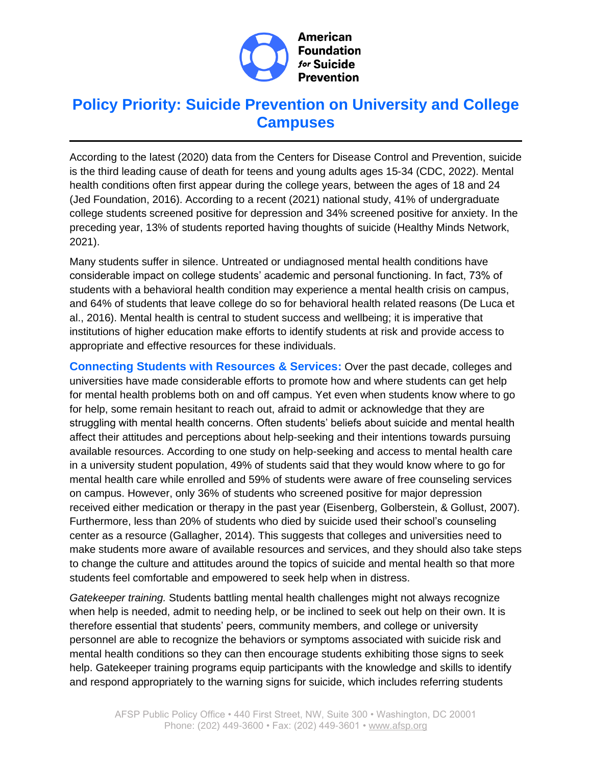

# **Policy Priority: Suicide Prevention on University and College Campuses**

According to the latest (2020) data from the Centers for Disease Control and Prevention, suicide is the third leading cause of death for teens and young adults ages 15-34 (CDC, 2022). Mental health conditions often first appear during the college years, between the ages of 18 and 24 (Jed Foundation, 2016). According to a recent (2021) national study, 41% of undergraduate college students screened positive for depression and 34% screened positive for anxiety. In the preceding year, 13% of students reported having thoughts of suicide (Healthy Minds Network, 2021).

Many students suffer in silence. Untreated or undiagnosed mental health conditions have considerable impact on college students' academic and personal functioning. In fact, 73% of students with a behavioral health condition may experience a mental health crisis on campus, and 64% of students that leave college do so for behavioral health related reasons (De Luca et al., 2016). Mental health is central to student success and wellbeing; it is imperative that institutions of higher education make efforts to identify students at risk and provide access to appropriate and effective resources for these individuals.

**Connecting Students with Resources & Services:** Over the past decade, colleges and universities have made considerable efforts to promote how and where students can get help for mental health problems both on and off campus. Yet even when students know where to go for help, some remain hesitant to reach out, afraid to admit or acknowledge that they are struggling with mental health concerns. Often students' beliefs about suicide and mental health affect their attitudes and perceptions about help-seeking and their intentions towards pursuing available resources. According to one study on help-seeking and access to mental health care in a university student population, 49% of students said that they would know where to go for mental health care while enrolled and 59% of students were aware of free counseling services on campus. However, only 36% of students who screened positive for major depression received either medication or therapy in the past year (Eisenberg, Golberstein, & Gollust, 2007). Furthermore, less than 20% of students who died by suicide used their school's counseling center as a resource (Gallagher, 2014). This suggests that colleges and universities need to make students more aware of available resources and services, and they should also take steps to change the culture and attitudes around the topics of suicide and mental health so that more students feel comfortable and empowered to seek help when in distress.

*Gatekeeper training.* Students battling mental health challenges might not always recognize when help is needed, admit to needing help, or be inclined to seek out help on their own. It is therefore essential that students' peers, community members, and college or university personnel are able to recognize the behaviors or symptoms associated with suicide risk and mental health conditions so they can then encourage students exhibiting those signs to seek help. Gatekeeper training programs equip participants with the knowledge and skills to identify and respond appropriately to the warning signs for suicide, which includes referring students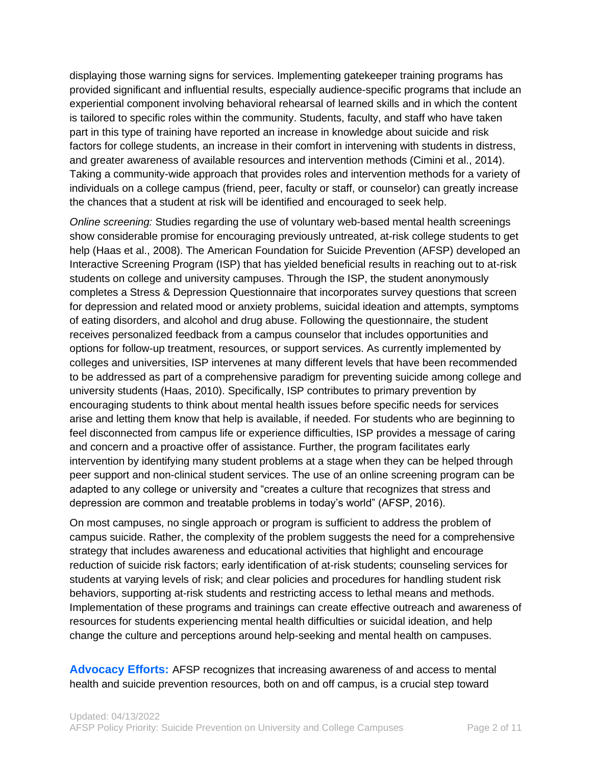displaying those warning signs for services. Implementing gatekeeper training programs has provided significant and influential results, especially audience-specific programs that include an experiential component involving behavioral rehearsal of learned skills and in which the content is tailored to specific roles within the community. Students, faculty, and staff who have taken part in this type of training have reported an increase in knowledge about suicide and risk factors for college students, an increase in their comfort in intervening with students in distress, and greater awareness of available resources and intervention methods (Cimini et al., 2014). Taking a community-wide approach that provides roles and intervention methods for a variety of individuals on a college campus (friend, peer, faculty or staff, or counselor) can greatly increase the chances that a student at risk will be identified and encouraged to seek help.

*Online screening:* Studies regarding the use of voluntary web-based mental health screenings show considerable promise for encouraging previously untreated, at-risk college students to get help (Haas et al., 2008). The American Foundation for Suicide Prevention (AFSP) developed an Interactive Screening Program (ISP) that has yielded beneficial results in reaching out to at-risk students on college and university campuses. Through the ISP, the student anonymously completes a Stress & Depression Questionnaire that incorporates survey questions that screen for depression and related mood or anxiety problems, suicidal ideation and attempts, symptoms of eating disorders, and alcohol and drug abuse. Following the questionnaire, the student receives personalized feedback from a campus counselor that includes opportunities and options for follow-up treatment, resources, or support services. As currently implemented by colleges and universities, ISP intervenes at many different levels that have been recommended to be addressed as part of a comprehensive paradigm for preventing suicide among college and university students (Haas, 2010). Specifically, ISP contributes to primary prevention by encouraging students to think about mental health issues before specific needs for services arise and letting them know that help is available, if needed. For students who are beginning to feel disconnected from campus life or experience difficulties, ISP provides a message of caring and concern and a proactive offer of assistance. Further, the program facilitates early intervention by identifying many student problems at a stage when they can be helped through peer support and non-clinical student services. The use of an online screening program can be adapted to any college or university and "creates a culture that recognizes that stress and depression are common and treatable problems in today's world" (AFSP, 2016).

On most campuses, no single approach or program is sufficient to address the problem of campus suicide. Rather, the complexity of the problem suggests the need for a comprehensive strategy that includes awareness and educational activities that highlight and encourage reduction of suicide risk factors; early identification of at-risk students; counseling services for students at varying levels of risk; and clear policies and procedures for handling student risk behaviors, supporting at-risk students and restricting access to lethal means and methods. Implementation of these programs and trainings can create effective outreach and awareness of resources for students experiencing mental health difficulties or suicidal ideation, and help change the culture and perceptions around help-seeking and mental health on campuses.

**Advocacy Efforts:** AFSP recognizes that increasing awareness of and access to mental health and suicide prevention resources, both on and off campus, is a crucial step toward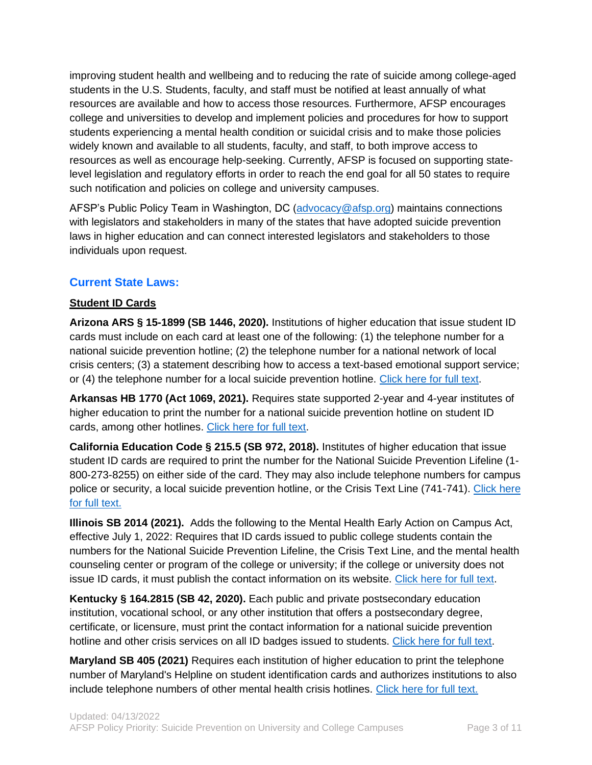improving student health and wellbeing and to reducing the rate of suicide among college-aged students in the U.S. Students, faculty, and staff must be notified at least annually of what resources are available and how to access those resources. Furthermore, AFSP encourages college and universities to develop and implement policies and procedures for how to support students experiencing a mental health condition or suicidal crisis and to make those policies widely known and available to all students, faculty, and staff, to both improve access to resources as well as encourage help-seeking. Currently, AFSP is focused on supporting statelevel legislation and regulatory efforts in order to reach the end goal for all 50 states to require such notification and policies on college and university campuses.

AFSP's Public Policy Team in Washington, DC [\(advocacy@afsp.org\)](mailto:advocacy@afsp.org) maintains connections with legislators and stakeholders in many of the states that have adopted suicide prevention laws in higher education and can connect interested legislators and stakeholders to those individuals upon request.

## **Current State Laws:**

## **Student ID Cards**

**Arizona ARS § 15-1899 (SB 1446, 2020).** Institutions of higher education that issue student ID cards must include on each card at least one of the following: (1) the telephone number for a national suicide prevention hotline; (2) the telephone number for a national network of local crisis centers; (3) a statement describing how to access a text-based emotional support service; or (4) the telephone number for a local suicide prevention hotline. [Click here for full text.](https://www.azleg.gov/viewdocument/?docName=https://www.azleg.gov/ars/15/01899.htm)

**Arkansas HB 1770 (Act 1069, 2021).** Requires state supported 2-year and 4-year institutes of higher education to print the number for a national suicide prevention hotline on student ID cards, among other hotlines. [Click here for full text.](https://www.arkleg.state.ar.us/Acts/FTPDocument?path=%2FACTS%2F2021R%2FPublic%2F&file=1069.pdf&ddBienniumSession=2021%2F2021R)

**California Education Code § 215.5 (SB 972, 2018).** Institutes of higher education that issue student ID cards are required to print the number for the National Suicide Prevention Lifeline (1- 800-273-8255) on either side of the card. They may also include telephone numbers for campus police or security, a local suicide prevention hotline, or the Crisis Text Line (741-741). Click here [for full text.](http://leginfo.legislature.ca.gov/faces/codes_displaySection.xhtml?lawCode=EDC§ionNum=215.5.)

**Illinois SB 2014 (2021).** Adds the following to the Mental Health Early Action on Campus Act, effective July 1, 2022: Requires that ID cards issued to public college students contain the numbers for the National Suicide Prevention Lifeline, the Crisis Text Line, and the mental health counseling center or program of the college or university; if the college or university does not issue ID cards, it must publish the contact information on its website. [Click here for full text.](https://ilga.gov/legislation/fulltext.asp?DocName=&SessionId=110&GA=102&DocTypeId=SB&DocNum=2014&GAID=16&LegID=&SpecSess=&Session=)

**Kentucky § 164.2815 (SB 42, 2020).** Each public and private postsecondary education institution, vocational school, or any other institution that offers a postsecondary degree, certificate, or licensure, must print the contact information for a national suicide prevention hotline and other crisis services on all ID badges issued to students. [Click here for full text.](https://apps.legislature.ky.gov/law/statutes/statute.aspx?id=50205)

**Maryland SB 405 (2021)** Requires each institution of higher education to print the telephone number of Maryland's Helpline on student identification cards and authorizes institutions to also include telephone numbers of other mental health crisis hotlines. [Click here for full text.](http://mgaleg.maryland.gov/2021RS/bills/sb/sb0405T.pdf)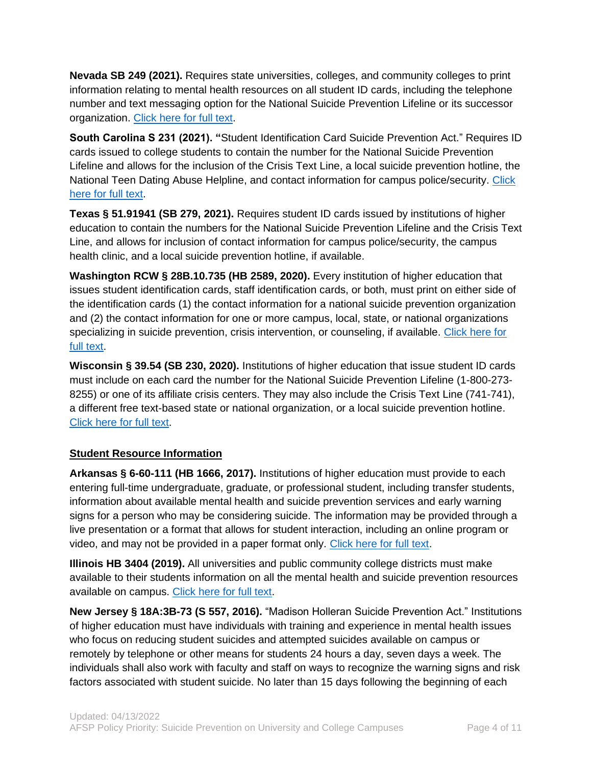**Nevada SB 249 (2021).** Requires state universities, colleges, and community colleges to print information relating to mental health resources on all student ID cards, including the telephone number and text messaging option for the National Suicide Prevention Lifeline or its successor organization. [Click here for full text.](https://www.leg.state.nv.us/App/NELIS/REL/81st2021/Bill/7771/Text)

**South Carolina S 231 (2021). "**Student Identification Card Suicide Prevention Act." Requires ID cards issued to college students to contain the number for the National Suicide Prevention Lifeline and allows for the inclusion of the Crisis Text Line, a local suicide prevention hotline, the National Teen Dating Abuse Helpline, and contact information for campus police/security. [Click](https://www.scstatehouse.gov/sess124_2021-2022/prever/231_20210504.htm)  [here for full text.](https://www.scstatehouse.gov/sess124_2021-2022/prever/231_20210504.htm)

**Texas § 51.91941 (SB 279, 2021).** Requires student ID cards issued by institutions of higher education to contain the numbers for the National Suicide Prevention Lifeline and the Crisis Text Line, and allows for inclusion of contact information for campus police/security, the campus health clinic, and a local suicide prevention hotline, if available.

**Washington RCW § 28B.10.735 (HB 2589, 2020).** Every institution of higher education that issues student identification cards, staff identification cards, or both, must print on either side of the identification cards (1) the contact information for a national suicide prevention organization and (2) the contact information for one or more campus, local, state, or national organizations specializing in suicide prevention, crisis intervention, or counseling, if available. Click here for [full text.](http://lawfilesext.leg.wa.gov/biennium/2019-20/Pdf/Bills/Session%20Laws/House/2589-S.SL.pdf?q=20200413111754)

**Wisconsin § 39.54 (SB 230, 2020).** Institutions of higher education that issue student ID cards must include on each card the number for the National Suicide Prevention Lifeline (1-800-273- 8255) or one of its affiliate crisis centers. They may also include the Crisis Text Line (741-741), a different free text-based state or national organization, or a local suicide prevention hotline. [Click here for full text.](https://docs.legis.wisconsin.gov/statutes/statutes/39/III/54)

#### **Student Resource Information**

**Arkansas § 6-60-111 (HB 1666, 2017).** Institutions of higher education must provide to each entering full-time undergraduate, graduate, or professional student, including transfer students, information about available mental health and suicide prevention services and early warning signs for a person who may be considering suicide. The information may be provided through a live presentation or a format that allows for student interaction, including an online program or video, and may not be provided in a paper format only. [Click here for full text.](ftp://www.arkleg.state.ar.us/Bills/2017R/Public/HB1666.pdf)

**Illinois HB 3404 (2019).** All universities and public community college districts must make available to their students information on all the mental health and suicide prevention resources available on campus. [Click here for full text.](http://ilga.gov/legislation/fulltext.asp?DocName=&SessionId=108&GA=101&DocTypeId=HB&DocNum=3404&GAID=15&LegID=&SpecSess=&Session=)

**New Jersey § 18A:3B-73 (S 557, 2016).** "Madison Holleran Suicide Prevention Act." Institutions of higher education must have individuals with training and experience in mental health issues who focus on reducing student suicides and attempted suicides available on campus or remotely by telephone or other means for students 24 hours a day, seven days a week. The individuals shall also work with faculty and staff on ways to recognize the warning signs and risk factors associated with student suicide. No later than 15 days following the beginning of each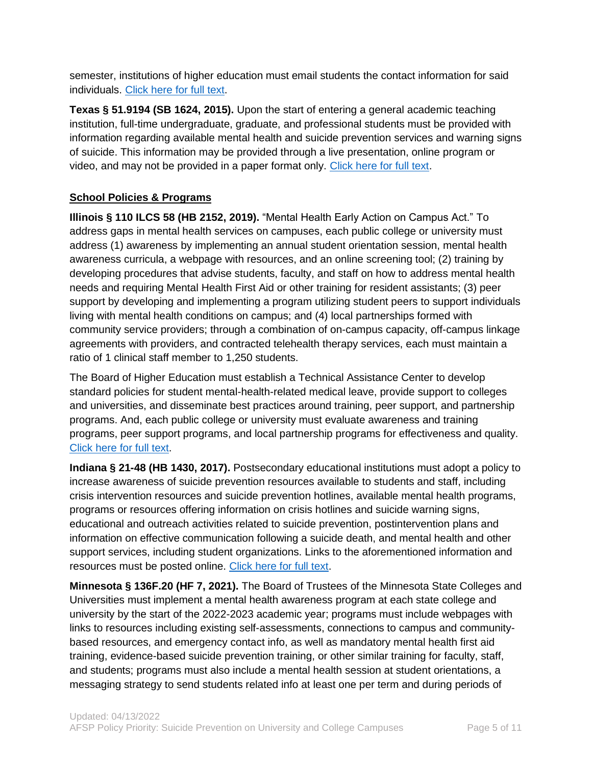semester, institutions of higher education must email students the contact information for said individuals. [Click here for full text.](http://www.njleg.state.nj.us/2016/Bills/PL16/18_.HTM)

**Texas § 51.9194 (SB 1624, 2015).** Upon the start of entering a general academic teaching institution, full-time undergraduate, graduate, and professional students must be provided with information regarding available mental health and suicide prevention services and warning signs of suicide. This information may be provided through a live presentation, online program or video, and may not be provided in a paper format only. [Click here for full text.](http://www.statutes.legis.state.tx.us/Docs/ED/htm/ED.51.htm#51.9194)

#### **School Policies & Programs**

**Illinois § 110 ILCS 58 (HB 2152, 2019).** "Mental Health Early Action on Campus Act." To address gaps in mental health services on campuses, each public college or university must address (1) awareness by implementing an annual student orientation session, mental health awareness curricula, a webpage with resources, and an online screening tool; (2) training by developing procedures that advise students, faculty, and staff on how to address mental health needs and requiring Mental Health First Aid or other training for resident assistants; (3) peer support by developing and implementing a program utilizing student peers to support individuals living with mental health conditions on campus; and (4) local partnerships formed with community service providers; through a combination of on-campus capacity, off-campus linkage agreements with providers, and contracted telehealth therapy services, each must maintain a ratio of 1 clinical staff member to 1,250 students.

The Board of Higher Education must establish a Technical Assistance Center to develop standard policies for student mental-health-related medical leave, provide support to colleges and universities, and disseminate best practices around training, peer support, and partnership programs. And, each public college or university must evaluate awareness and training programs, peer support programs, and local partnership programs for effectiveness and quality. [Click here for full text.](http://www.ilga.gov/legislation/ilcs/ilcs3.asp?ActID=4013&ChapterID=18%5d)

**Indiana § 21-48 (HB 1430, 2017).** Postsecondary educational institutions must adopt a policy to increase awareness of suicide prevention resources available to students and staff, including crisis intervention resources and suicide prevention hotlines, available mental health programs, programs or resources offering information on crisis hotlines and suicide warning signs, educational and outreach activities related to suicide prevention, postintervention plans and information on effective communication following a suicide death, and mental health and other support services, including student organizations. Links to the aforementioned information and resources must be posted online. [Click here for full text.](https://iga.in.gov/legislative/2017/bills/house/1430#document-6045e31d)

**Minnesota § 136F.20 (HF 7, 2021).** The Board of Trustees of the Minnesota State Colleges and Universities must implement a mental health awareness program at each state college and university by the start of the 2022-2023 academic year; programs must include webpages with links to resources including existing self-assessments, connections to campus and communitybased resources, and emergency contact info, as well as mandatory mental health first aid training, evidence-based suicide prevention training, or other similar training for faculty, staff, and students; programs must also include a mental health session at student orientations, a messaging strategy to send students related info at least one per term and during periods of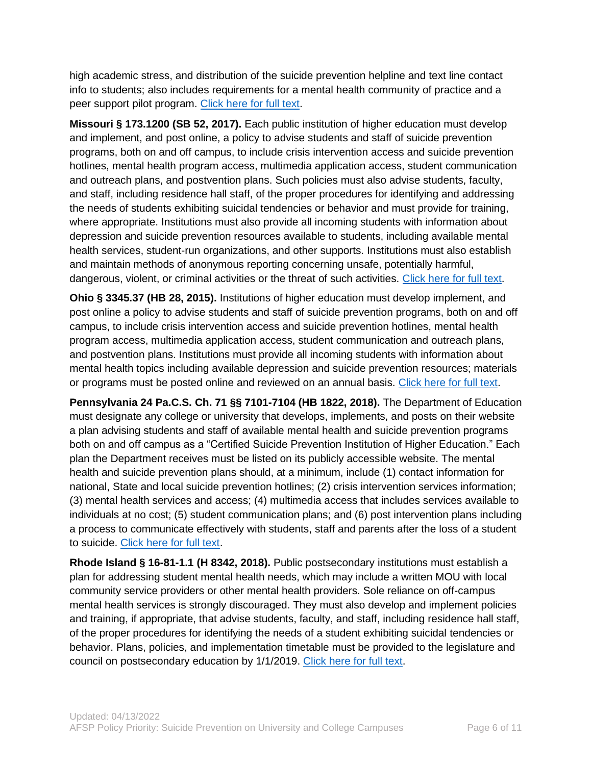high academic stress, and distribution of the suicide prevention helpline and text line contact info to students; also includes requirements for a mental health community of practice and a peer support pilot program. [Click here for full text.](https://www.revisor.mn.gov/laws/2021/1/Session+Law/Chapter/2/)

**Missouri § 173.1200 (SB 52, 2017).** Each public institution of higher education must develop and implement, and post online, a policy to advise students and staff of suicide prevention programs, both on and off campus, to include crisis intervention access and suicide prevention hotlines, mental health program access, multimedia application access, student communication and outreach plans, and postvention plans. Such policies must also advise students, faculty, and staff, including residence hall staff, of the proper procedures for identifying and addressing the needs of students exhibiting suicidal tendencies or behavior and must provide for training, where appropriate. Institutions must also provide all incoming students with information about depression and suicide prevention resources available to students, including available mental health services, student-run organizations, and other supports. Institutions must also establish and maintain methods of anonymous reporting concerning unsafe, potentially harmful, dangerous, violent, or criminal activities or the threat of such activities. [Click here for full text.](http://www.senate.mo.gov/17info/pdf-bill/tat/SB52.pdf)

**Ohio § 3345.37 (HB 28, 2015).** Institutions of higher education must develop implement, and post online a policy to advise students and staff of suicide prevention programs, both on and off campus, to include crisis intervention access and suicide prevention hotlines, mental health program access, multimedia application access, student communication and outreach plans, and postvention plans. Institutions must provide all incoming students with information about mental health topics including available depression and suicide prevention resources; materials or programs must be posted online and reviewed on an annual basis. [Click here for full text.](http://codes.ohio.gov/orc/3345.37)

**Pennsylvania 24 Pa.C.S. Ch. 71 §§ 7101-7104 (HB 1822, 2018).** The Department of Education must designate any college or university that develops, implements, and posts on their website a plan advising students and staff of available mental health and suicide prevention programs both on and off campus as a "Certified Suicide Prevention Institution of Higher Education." Each plan the Department receives must be listed on its publicly accessible website. The mental health and suicide prevention plans should, at a minimum, include (1) contact information for national, State and local suicide prevention hotlines; (2) crisis intervention services information; (3) mental health services and access; (4) multimedia access that includes services available to individuals at no cost; (5) student communication plans; and (6) post intervention plans including a process to communicate effectively with students, staff and parents after the loss of a student to suicide. [Click here for full text.](https://www.legis.state.pa.us/CFDOCS/Legis/PN/Public/btCheck.cfm?txtType=PDF&sessYr=2017&sessInd=0&billBody=H&billTyp=B&billNbr=1822&pn=4045)

**Rhode Island § 16-81-1.1 (H 8342, 2018).** Public postsecondary institutions must establish a plan for addressing student mental health needs, which may include a written MOU with local community service providers or other mental health providers. Sole reliance on off-campus mental health services is strongly discouraged. They must also develop and implement policies and training, if appropriate, that advise students, faculty, and staff, including residence hall staff, of the proper procedures for identifying the needs of a student exhibiting suicidal tendencies or behavior. Plans, policies, and implementation timetable must be provided to the legislature and council on postsecondary education by 1/1/2019. Click here [for full text.](http://webserver.rilin.state.ri.us/Statutes/TITLE16/16-81/16-81-1.1.HTM)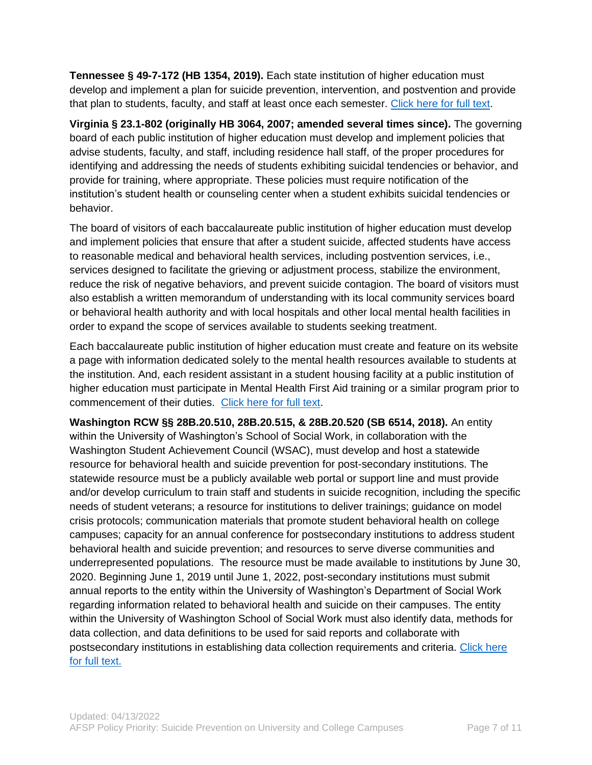**Tennessee § 49-7-172 (HB 1354, 2019).** Each state institution of higher education must develop and implement a plan for suicide prevention, intervention, and postvention and provide that plan to students, faculty, and staff at least once each semester. [Click here for full text.](https://publications.tnsosfiles.com/acts/111/pub/pc0455.pdf)

**Virginia § 23.1-802 (originally HB 3064, 2007; amended several times since).** The governing board of each public institution of higher education must develop and implement policies that advise students, faculty, and staff, including residence hall staff, of the proper procedures for identifying and addressing the needs of students exhibiting suicidal tendencies or behavior, and provide for training, where appropriate. These policies must require notification of the institution's student health or counseling center when a student exhibits suicidal tendencies or behavior.

The board of visitors of each baccalaureate public institution of higher education must develop and implement policies that ensure that after a student suicide, affected students have access to reasonable medical and behavioral health services, including postvention services, i.e., services designed to facilitate the grieving or adjustment process, stabilize the environment, reduce the risk of negative behaviors, and prevent suicide contagion. The board of visitors must also establish a written memorandum of understanding with its local community services board or behavioral health authority and with local hospitals and other local mental health facilities in order to expand the scope of services available to students seeking treatment.

Each baccalaureate public institution of higher education must create and feature on its website a page with information dedicated solely to the mental health resources available to students at the institution. And, each resident assistant in a student housing facility at a public institution of higher education must participate in Mental Health First Aid training or a similar program prior to commencement of their duties. [Click here for full text.](http://law.lis.virginia.gov/vacode/title23.1/chapter8/section23.1-802/)

**Washington RCW §§ 28B.20.510, 28B.20.515, & 28B.20.520 (SB 6514, 2018).** An entity within the University of Washington's School of Social Work, in collaboration with the Washington Student Achievement Council (WSAC), must develop and host a statewide resource for behavioral health and suicide prevention for post-secondary institutions. The statewide resource must be a publicly available web portal or support line and must provide and/or develop curriculum to train staff and students in suicide recognition, including the specific needs of student veterans; a resource for institutions to deliver trainings; guidance on model crisis protocols; communication materials that promote student behavioral health on college campuses; capacity for an annual conference for postsecondary institutions to address student behavioral health and suicide prevention; and resources to serve diverse communities and underrepresented populations. The resource must be made available to institutions by June 30, 2020. Beginning June 1, 2019 until June 1, 2022, post-secondary institutions must submit annual reports to the entity within the University of Washington's Department of Social Work regarding information related to behavioral health and suicide on their campuses. The entity within the University of Washington School of Social Work must also identify data, methods for data collection, and data definitions to be used for said reports and collaborate with postsecondary institutions in establishing data collection requirements and criteria. [Click here](http://lawfilesext.leg.wa.gov/biennium/2017-18/Pdf/Bills/Senate%20Passed%20Legislature/6514-S.PL.pdf)  [for full text.](http://lawfilesext.leg.wa.gov/biennium/2017-18/Pdf/Bills/Senate%20Passed%20Legislature/6514-S.PL.pdf)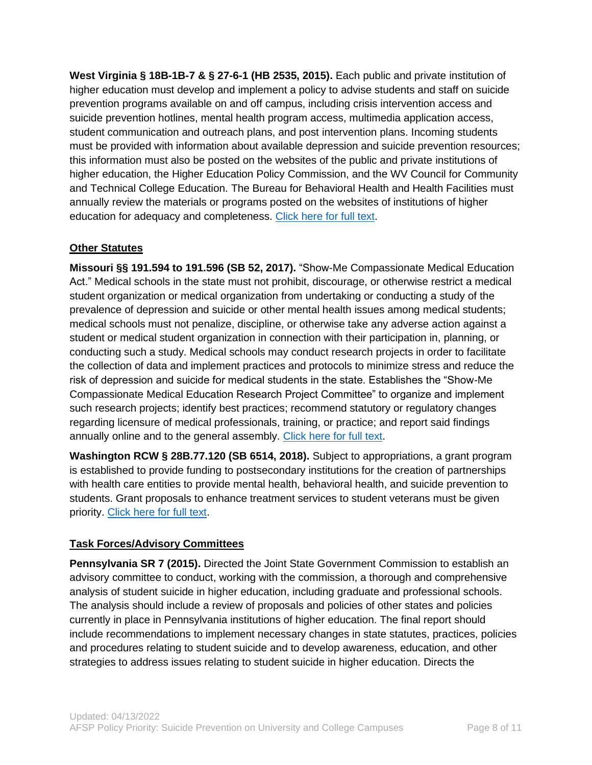**West Virginia § 18B-1B-7 & § 27-6-1 (HB 2535, 2015).** Each public and private institution of higher education must develop and implement a policy to advise students and staff on suicide prevention programs available on and off campus, including crisis intervention access and suicide prevention hotlines, mental health program access, multimedia application access, student communication and outreach plans, and post intervention plans. Incoming students must be provided with information about available depression and suicide prevention resources; this information must also be posted on the websites of the public and private institutions of higher education, the Higher Education Policy Commission, and the WV Council for Community and Technical College Education. The Bureau for Behavioral Health and Health Facilities must annually review the materials or programs posted on the websites of institutions of higher education for adequacy and completeness. [Click here for full text.](http://www.legis.state.wv.us/Bill_Text_HTML/2015_SESSIONS/RS/pdf_bills/HB2535%20ENR%20PRINTED.pdf)

## **Other Statutes**

**Missouri §§ 191.594 to 191.596 (SB 52, 2017).** "Show-Me Compassionate Medical Education Act." Medical schools in the state must not prohibit, discourage, or otherwise restrict a medical student organization or medical organization from undertaking or conducting a study of the prevalence of depression and suicide or other mental health issues among medical students; medical schools must not penalize, discipline, or otherwise take any adverse action against a student or medical student organization in connection with their participation in, planning, or conducting such a study. Medical schools may conduct research projects in order to facilitate the collection of data and implement practices and protocols to minimize stress and reduce the risk of depression and suicide for medical students in the state. Establishes the "Show-Me Compassionate Medical Education Research Project Committee" to organize and implement such research projects; identify best practices; recommend statutory or regulatory changes regarding licensure of medical professionals, training, or practice; and report said findings annually online and to the general assembly. [Click here for full text.](http://www.senate.mo.gov/17info/pdf-bill/tat/SB52.pdf)

**Washington RCW § 28B.77.120 (SB 6514, 2018).** Subject to appropriations, a grant program is established to provide funding to postsecondary institutions for the creation of partnerships with health care entities to provide mental health, behavioral health, and suicide prevention to students. Grant proposals to enhance treatment services to student veterans must be given priority. [Click here for full text.](https://app.leg.wa.gov/RCW/default.aspx?cite=28B.77.120)

#### **Task Forces/Advisory Committees**

**Pennsylvania SR 7 (2015).** Directed the Joint State Government Commission to establish an advisory committee to conduct, working with the commission, a thorough and comprehensive analysis of student suicide in higher education, including graduate and professional schools. The analysis should include a review of proposals and policies of other states and policies currently in place in Pennsylvania institutions of higher education. The final report should include recommendations to implement necessary changes in state statutes, practices, policies and procedures relating to student suicide and to develop awareness, education, and other strategies to address issues relating to student suicide in higher education. Directs the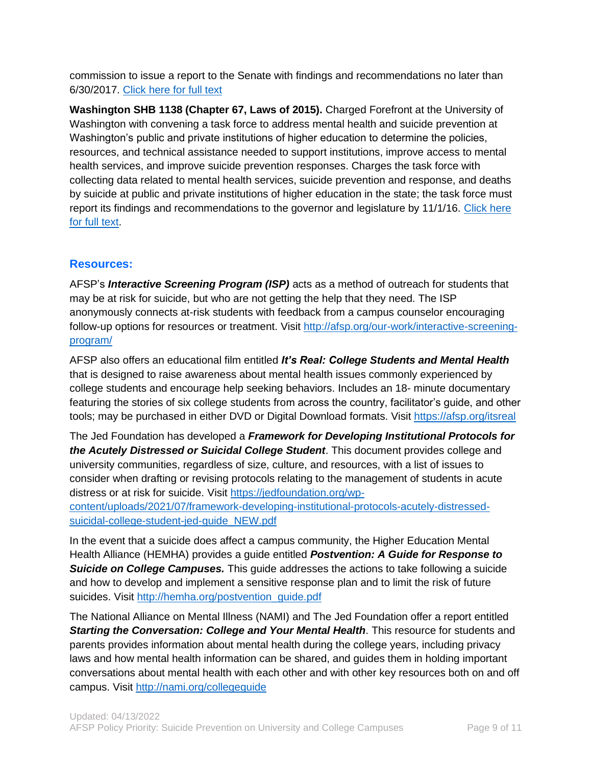commission to issue a report to the Senate with findings and recommendations no later than 6/30/2017. [Click here for full text](http://www.legis.state.pa.us/cfdocs/legis/PN/Public/btCheck.cfm?txtType=HTM&sessYr=2015&sessInd=0&billBody=S&billTyp=R&billNbr=0007&pn=1982)

**Washington SHB 1138 (Chapter 67, Laws of 2015).** Charged Forefront at the University of Washington with convening a task force to address mental health and suicide prevention at Washington's public and private institutions of higher education to determine the policies, resources, and technical assistance needed to support institutions, improve access to mental health services, and improve suicide prevention responses. Charges the task force with collecting data related to mental health services, suicide prevention and response, and deaths by suicide at public and private institutions of higher education in the state; the task force must report its findings and recommendations to the governor and legislature by 11/1/16. [Click here](http://lawfilesext.leg.wa.gov/biennium/2015-16/Pdf/Bills/Session%20Laws/House/1138-S.SL.pdf)  [for full text.](http://lawfilesext.leg.wa.gov/biennium/2015-16/Pdf/Bills/Session%20Laws/House/1138-S.SL.pdf)

#### **Resources:**

AFSP's *Interactive Screening Program (ISP)* acts as a method of outreach for students that may be at risk for suicide, but who are not getting the help that they need. The ISP anonymously connects at-risk students with feedback from a campus counselor encouraging follow-up options for resources or treatment. Visit [http://afsp.org/our-work/interactive-screening](http://afsp.org/our-work/interactive-screening-program/)[program/](http://afsp.org/our-work/interactive-screening-program/)

AFSP also offers an educational film entitled *It's Real: College Students and Mental Health* that is designed to raise awareness about mental health issues commonly experienced by college students and encourage help seeking behaviors. Includes an 18- minute documentary featuring the stories of six college students from across the country, facilitator's guide, and other tools; may be purchased in either DVD or Digital Download formats. Visit<https://afsp.org/itsreal>

The Jed Foundation has developed a *Framework for Developing Institutional Protocols for the Acutely Distressed or Suicidal College Student*. This document provides college and university communities, regardless of size, culture, and resources, with a list of issues to consider when drafting or revising protocols relating to the management of students in acute distress or at risk for suicide. Visit [https://jedfoundation.org/wp](https://jedfoundation.org/wp-content/uploads/2021/07/framework-developing-institutional-protocols-acutely-distressed-suicidal-college-student-jed-guide_NEW.pdf)[content/uploads/2021/07/framework-developing-institutional-protocols-acutely-distressed](https://jedfoundation.org/wp-content/uploads/2021/07/framework-developing-institutional-protocols-acutely-distressed-suicidal-college-student-jed-guide_NEW.pdf)[suicidal-college-student-jed-guide\\_NEW.pdf](https://jedfoundation.org/wp-content/uploads/2021/07/framework-developing-institutional-protocols-acutely-distressed-suicidal-college-student-jed-guide_NEW.pdf)

In the event that a suicide does affect a campus community, the Higher Education Mental Health Alliance (HEMHA) provides a guide entitled *Postvention: A Guide for Response to Suicide on College Campuses.* This guide addresses the actions to take following a suicide and how to develop and implement a sensitive response plan and to limit the risk of future suicides. Visit [http://hemha.org/postvention\\_guide.pdf](http://hemha.org/postvention_guide.pdf)

The National Alliance on Mental Illness (NAMI) and The Jed Foundation offer a report entitled *Starting the Conversation: College and Your Mental Health*. This resource for students and parents provides information about mental health during the college years, including privacy laws and how mental health information can be shared, and guides them in holding important conversations about mental health with each other and with other key resources both on and off campus. Visit<http://nami.org/collegeguide>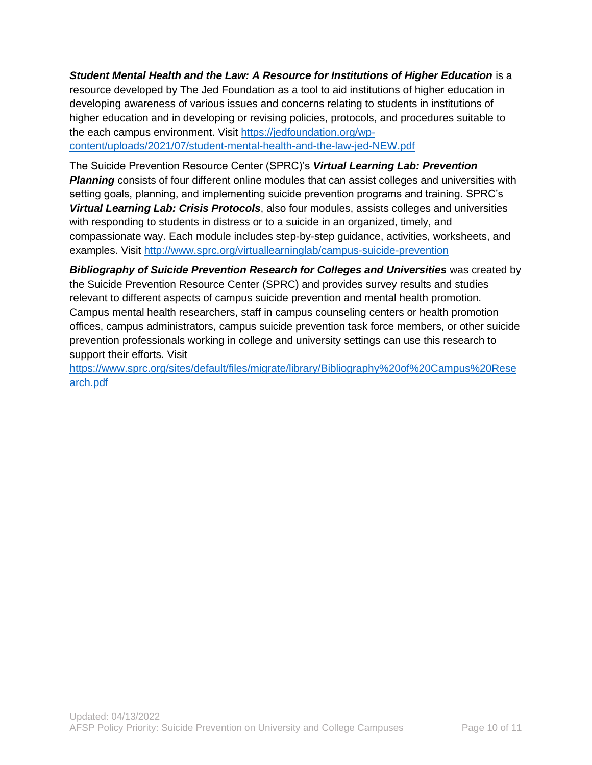*Student Mental Health and the Law: A Resource for Institutions of Higher Education* is a resource developed by The Jed Foundation as a tool to aid institutions of higher education in developing awareness of various issues and concerns relating to students in institutions of higher education and in developing or revising policies, protocols, and procedures suitable to the each campus environment. Visit [https://jedfoundation.org/wp](https://jedfoundation.org/wp-content/uploads/2021/07/student-mental-health-and-the-law-jed-NEW.pdf)[content/uploads/2021/07/student-mental-health-and-the-law-jed-NEW.pdf](https://jedfoundation.org/wp-content/uploads/2021/07/student-mental-health-and-the-law-jed-NEW.pdf)

The Suicide Prevention Resource Center (SPRC)'s *Virtual Learning Lab: Prevention Planning* consists of four different online modules that can assist colleges and universities with setting goals, planning, and implementing suicide prevention programs and training. SPRC's *Virtual Learning Lab: Crisis Protocols*, also four modules, assists colleges and universities with responding to students in distress or to a suicide in an organized, timely, and compassionate way. Each module includes step-by-step guidance, activities, worksheets, and examples. Visit<http://www.sprc.org/virtuallearninglab/campus-suicide-prevention>

*Bibliography of Suicide Prevention Research for Colleges and Universities* was created by the Suicide Prevention Resource Center (SPRC) and provides survey results and studies relevant to different aspects of campus suicide prevention and mental health promotion. Campus mental health researchers, staff in campus counseling centers or health promotion offices, campus administrators, campus suicide prevention task force members, or other suicide prevention professionals working in college and university settings can use this research to support their efforts. Visit

[https://www.sprc.org/sites/default/files/migrate/library/Bibliography%20of%20Campus%20Rese](https://www.sprc.org/sites/default/files/migrate/library/Bibliography%20of%20Campus%20Research.pdf) [arch.pdf](https://www.sprc.org/sites/default/files/migrate/library/Bibliography%20of%20Campus%20Research.pdf)